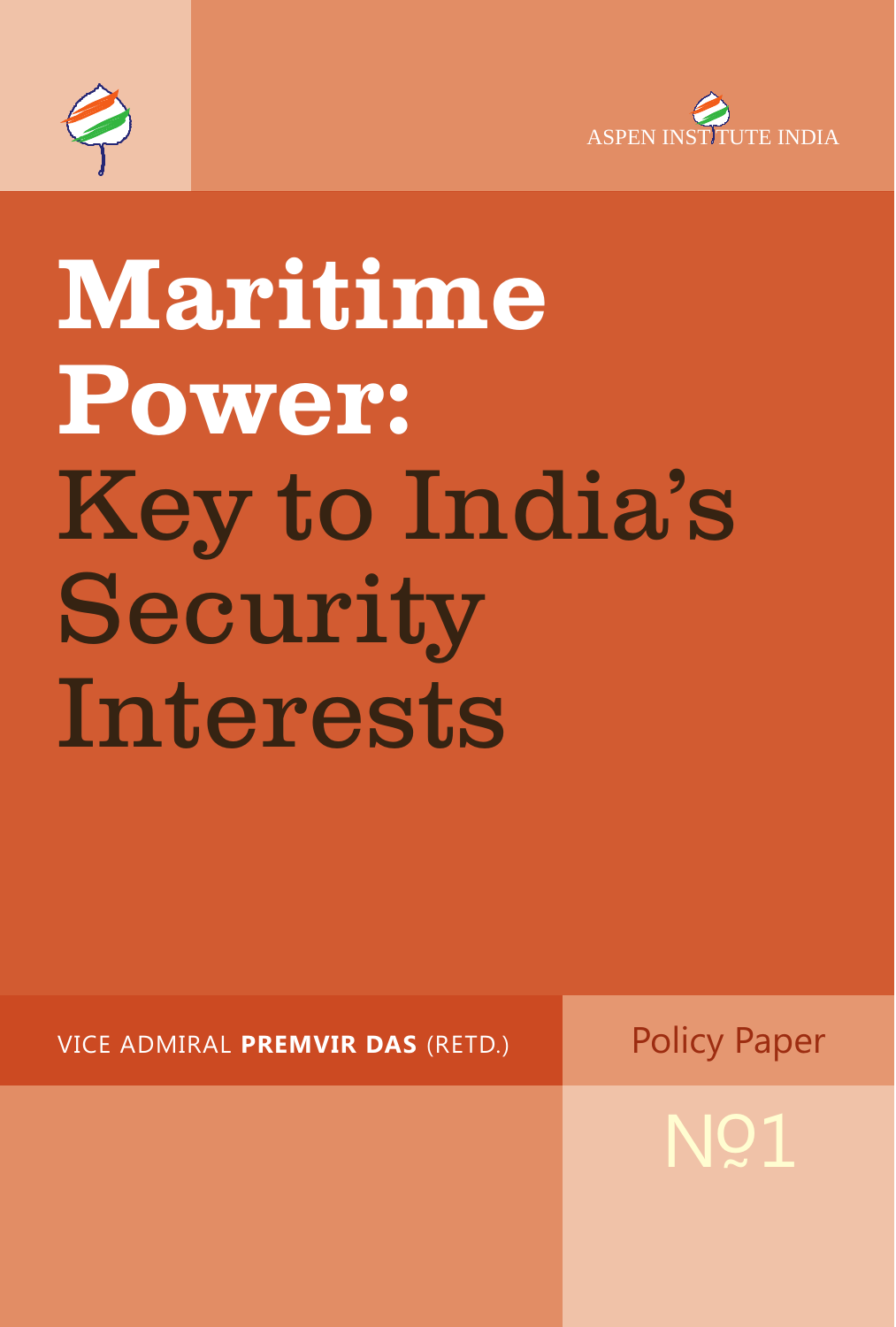



# Maritime Power: Key to India's Security Interests

VICE ADMIRAL PREMVIR DAS (RETD.)

**Policy Paper** 

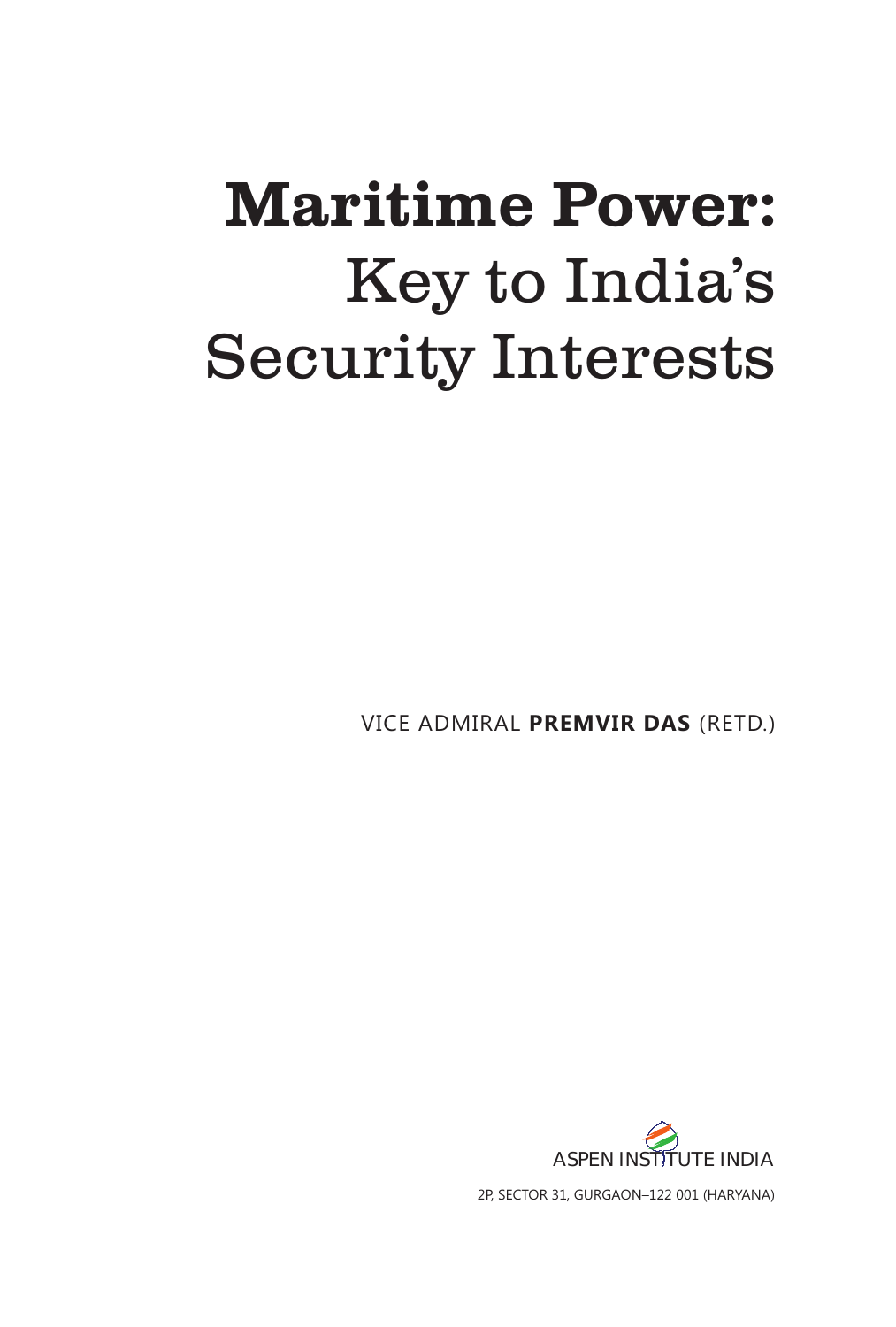## **Maritime Power:** Key to India's **Security Interests**

VICE ADMIRAL PREMVIR DAS (RETD.)

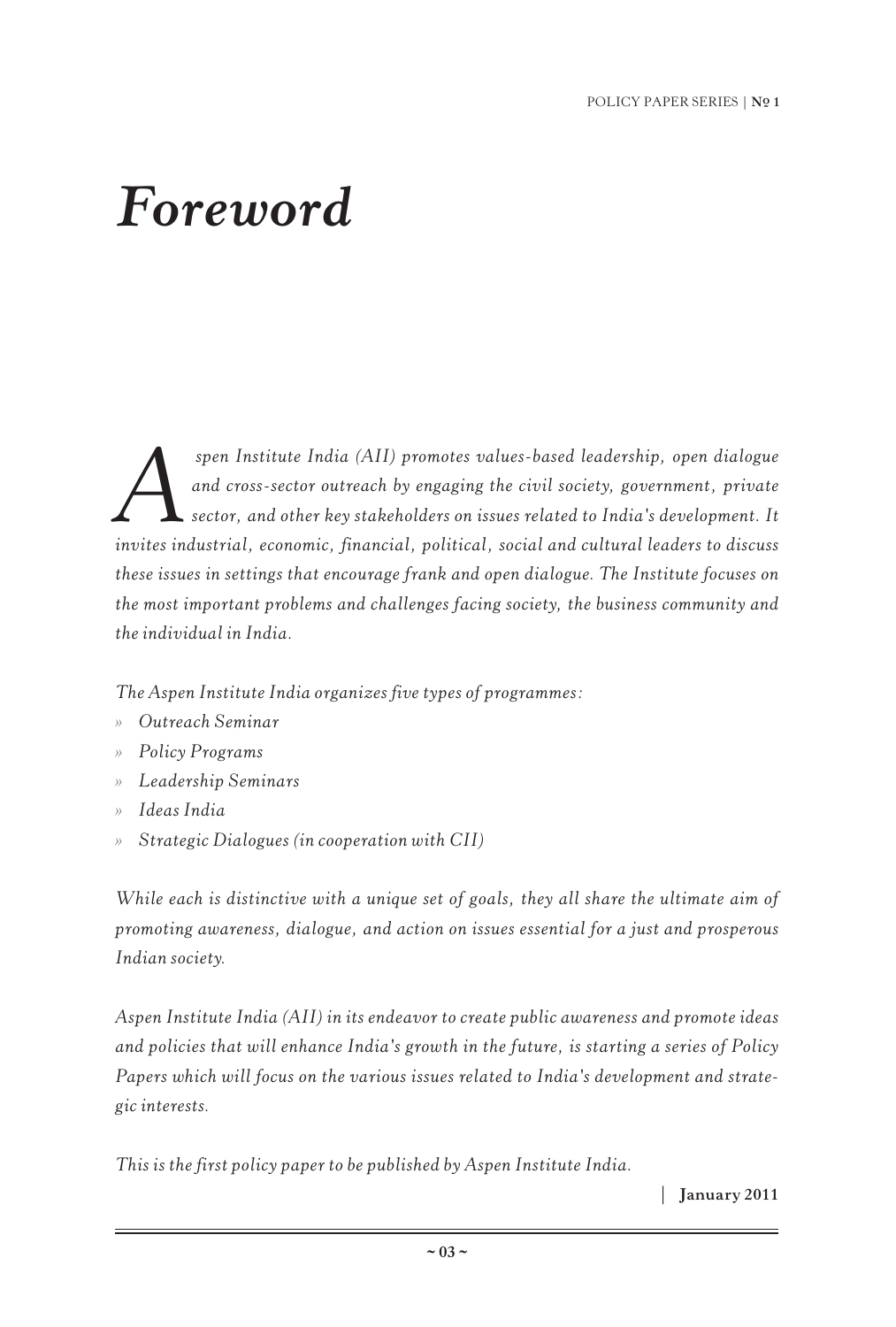## *Foreword*

*Spen Institute India (AII) promotes values-based leadership, open dialogue*<br>and cross-sector outreach by engaging the civil society, government, private<br>sector, and other key stakeholders on issues related to India's deve *and cross-sector outreach by engaging the civil society, government, private sector, and other key stakeholders on issues related to India's development. It invites industrial, economic, financial, political, social and cultural leaders to discuss these issues in settings that encourage frank and open dialogue. The Institute focuses on the most important problems and challenges facing society, the business community and the individual in India.*

*The Aspen Institute India organizes five types of programmes:*

- *Outreach Seminar »*
- *Policy Programs »*
- *Leadership Seminars »*
- *Ideas India »*
- *Strategic Dialogues (in cooperation with CII) »*

*While each is distinctive with a unique set of goals, they all share the ultimate aim of promoting awareness, dialogue, and action on issues essential for a just and prosperous Indian society.*

*Aspen Institute India (AII) in its endeavor to create public awareness and promote ideas and policies that will enhance India's growth in the future, is starting a series of Policy Papers which will focus on the various issues related to India's development and strategic interests.*

*This is the first policy paper to be published by Aspen Institute India.*

| **January 2011**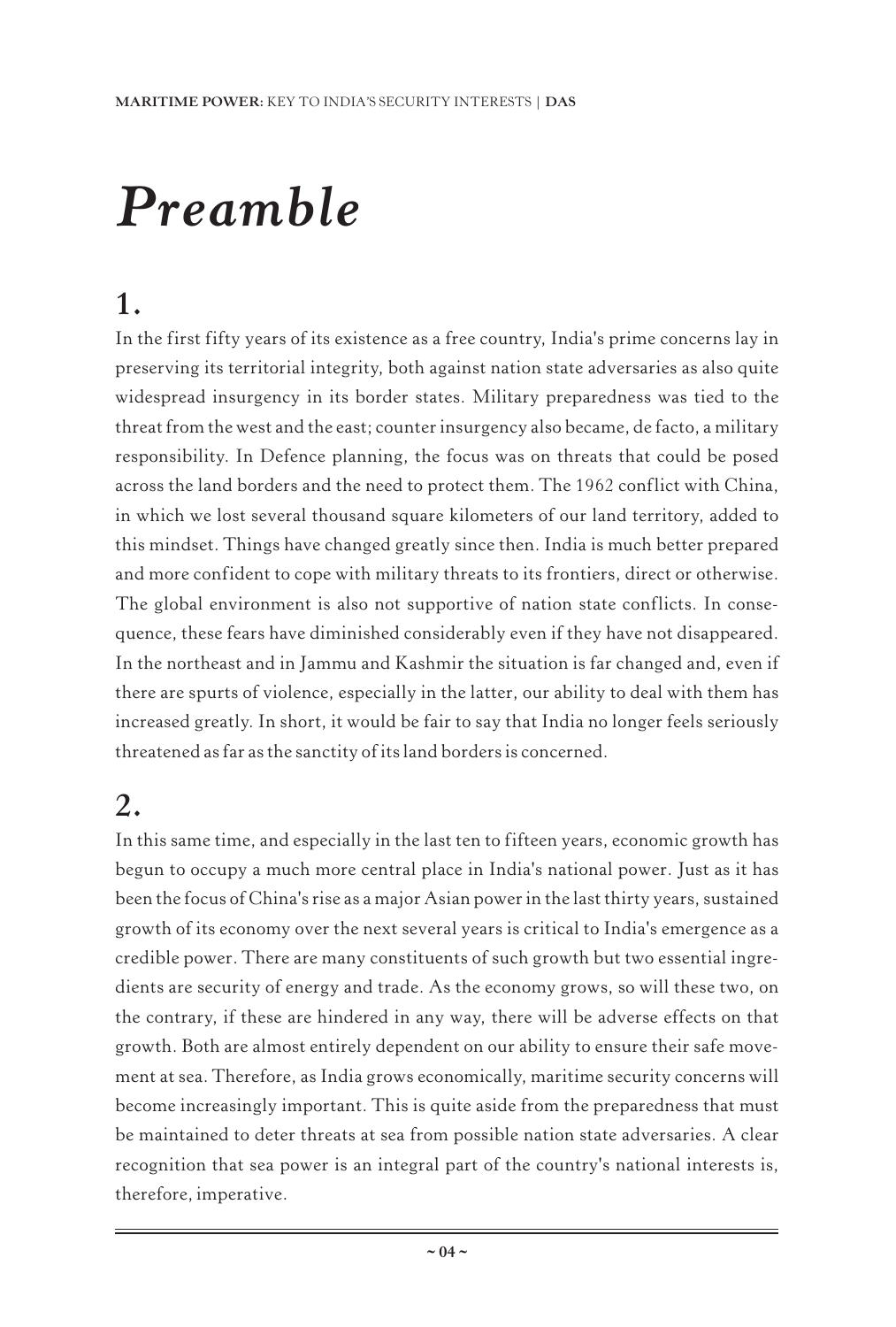## *Preamble*

#### **1.**

In the first fifty years of its existence as a free country, India's prime concerns lay in preserving its territorial integrity, both against nation state adversaries as also quite widespread insurgency in its border states. Military preparedness was tied to the threat from the west and the east; counter insurgency also became, de facto, a military responsibility. In Defence planning, the focus was on threats that could be posed across the land borders and the need to protect them. The 1962 conflict with China, in which we lost several thousand square kilometers of our land territory, added to this mindset. Things have changed greatly since then. India is much better prepared and more confident to cope with military threats to its frontiers, direct or otherwise. The global environment is also not supportive of nation state conflicts. In consequence, these fears have diminished considerably even if they have not disappeared. In the northeast and in Jammu and Kashmir the situation is far changed and, even if there are spurts of violence, especially in the latter, our ability to deal with them has increased greatly. In short, it would be fair to say that India no longer feels seriously threatened as far as the sanctity of its land borders is concerned.

#### **2.**

In this same time, and especially in the last ten to fifteen years, economic growth has begun to occupy a much more central place in India's national power. Just as it has been the focus of China's rise as a major Asian power in the last thirty years, sustained growth of its economy over the next several years is critical to India's emergence as a credible power. There are many constituents of such growth but two essential ingredients are security of energy and trade. As the economy grows, so will these two, on the contrary, if these are hindered in any way, there will be adverse effects on that growth. Both are almost entirely dependent on our ability to ensure their safe movement at sea. Therefore, as India grows economically, maritime security concerns will become increasingly important. This is quite aside from the preparedness that must be maintained to deter threats at sea from possible nation state adversaries. A clear recognition that sea power is an integral part of the country's national interests is, therefore, imperative.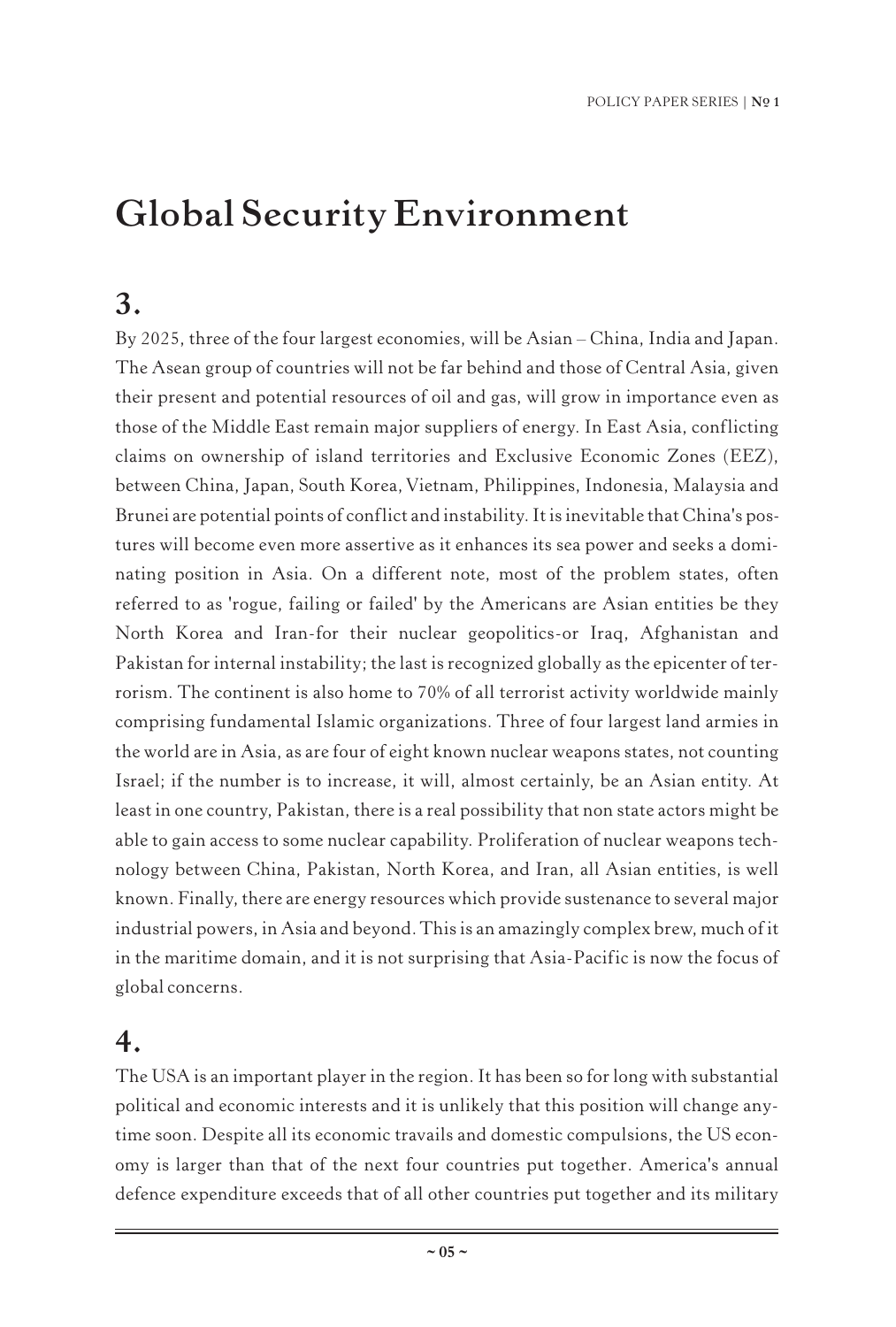## **Global Security Environment**

#### **3.**

By 2025, three of the four largest economies, will be Asian – China, India and Japan. The Asean group of countries will not be far behind and those of Central Asia, given their present and potential resources of oil and gas, will grow in importance even as those of the Middle East remain major suppliers of energy. In East Asia, conflicting claims on ownership of island territories and Exclusive Economic Zones (EEZ), between China, Japan, South Korea, Vietnam, Philippines, Indonesia, Malaysia and Brunei are potential points of conflict and instability. It is inevitable that China's postures will become even more assertive as it enhances its sea power and seeks a dominating position in Asia. On a different note, most of the problem states, often referred to as 'rogue, failing or failed' by the Americans are Asian entities be they North Korea and Iran-for their nuclear geopolitics-or Iraq, Afghanistan and Pakistan for internal instability; the last is recognized globally as the epicenter of terrorism. The continent is also home to 70% of all terrorist activity worldwide mainly comprising fundamental Islamic organizations. Three of four largest land armies in the world are in Asia, as are four of eight known nuclear weapons states, not counting Israel; if the number is to increase, it will, almost certainly, be an Asian entity. At least in one country, Pakistan, there is a real possibility that non state actors might be able to gain access to some nuclear capability. Proliferation of nuclear weapons technology between China, Pakistan, North Korea, and Iran, all Asian entities, is well known. Finally, there are energy resources which provide sustenance to several major industrial powers, in Asia and beyond. This is an amazingly complex brew, much of it in the maritime domain, and it is not surprising that Asia-Pacific is now the focus of global concerns.

#### **4.**

The USA is an important player in the region. It has been so for long with substantial political and economic interests and it is unlikely that this position will change anytime soon. Despite all its economic travails and domestic compulsions, the US economy is larger than that of the next four countries put together. America's annual defence expenditure exceeds that of all other countries put together and its military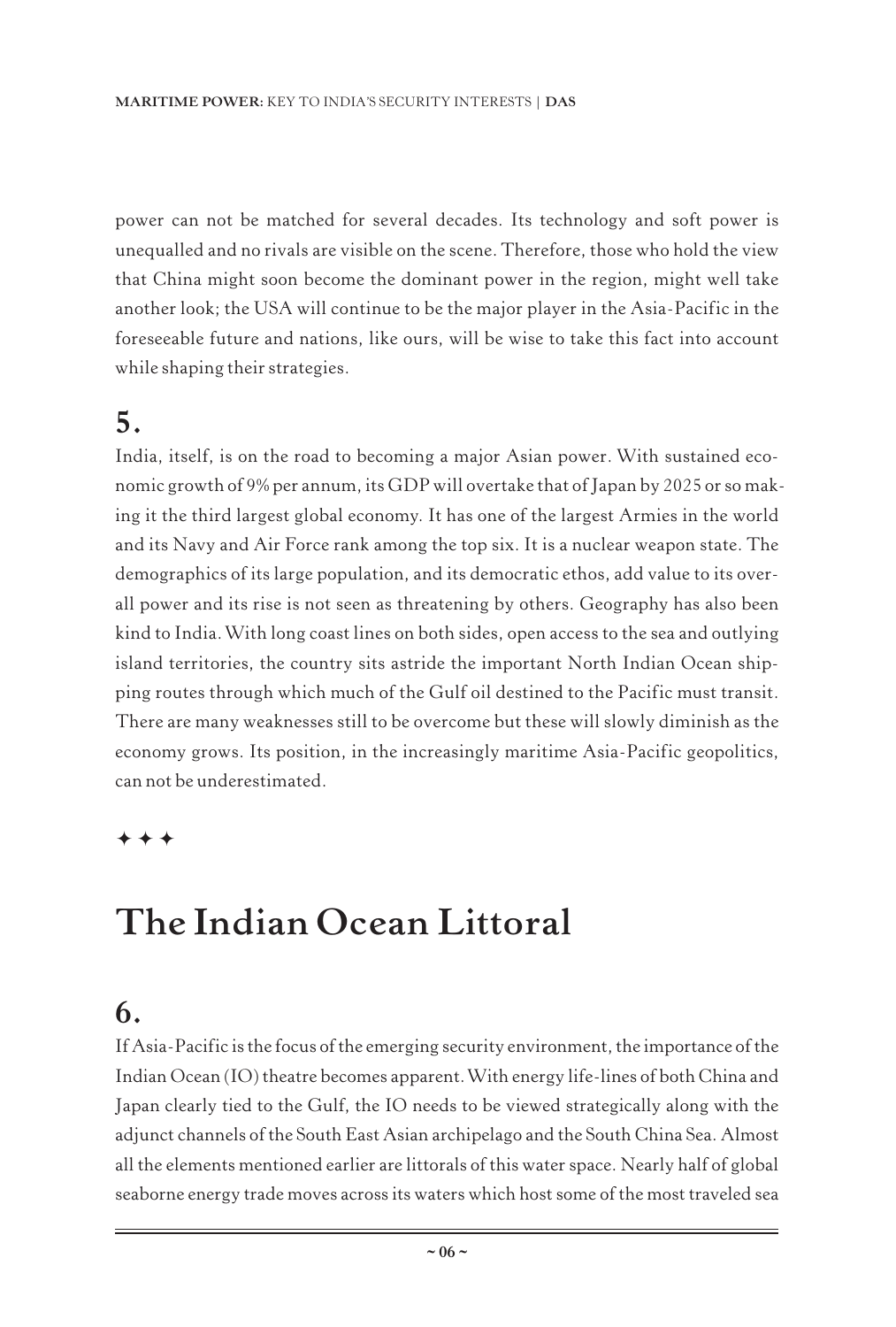power can not be matched for several decades. Its technology and soft power is unequalled and no rivals are visible on the scene. Therefore, those who hold the view that China might soon become the dominant power in the region, might well take another look; the USA will continue to be the major player in the Asia-Pacific in the foreseeable future and nations, like ours, will be wise to take this fact into account while shaping their strategies.

#### **5.**

India, itself, is on the road to becoming a major Asian power. With sustained economic growth of 9% per annum, its GDP will overtake that of Japan by 2025 or so making it the third largest global economy. It has one of the largest Armies in the world and its Navy and Air Force rank among the top six. It is a nuclear weapon state. The demographics of its large population, and its democratic ethos, add value to its overall power and its rise is not seen as threatening by others. Geography has also been kind to India.With long coast lines on both sides, open access to the sea and outlying island territories, the country sits astride the important North Indian Ocean shipping routes through which much of the Gulf oil destined to the Pacific must transit. There are many weaknesses still to be overcome but these will slowly diminish as the economy grows. Its position, in the increasingly maritime Asia-Pacific geopolitics, can not be underestimated.

#### $***$

## **The Indian Ocean Littoral**

#### **6.**

If Asia-Pacific is the focus of the emerging security environment, the importance of the Indian Ocean (IO) theatre becomes apparent.With energy life-lines of both China and Japan clearly tied to the Gulf, the IO needs to be viewed strategically along with the adjunct channels of the South East Asian archipelago and the South China Sea. Almost all the elements mentioned earlier are littorals of this water space. Nearly half of global seaborne energy trade moves across its waters which host some of the most traveled sea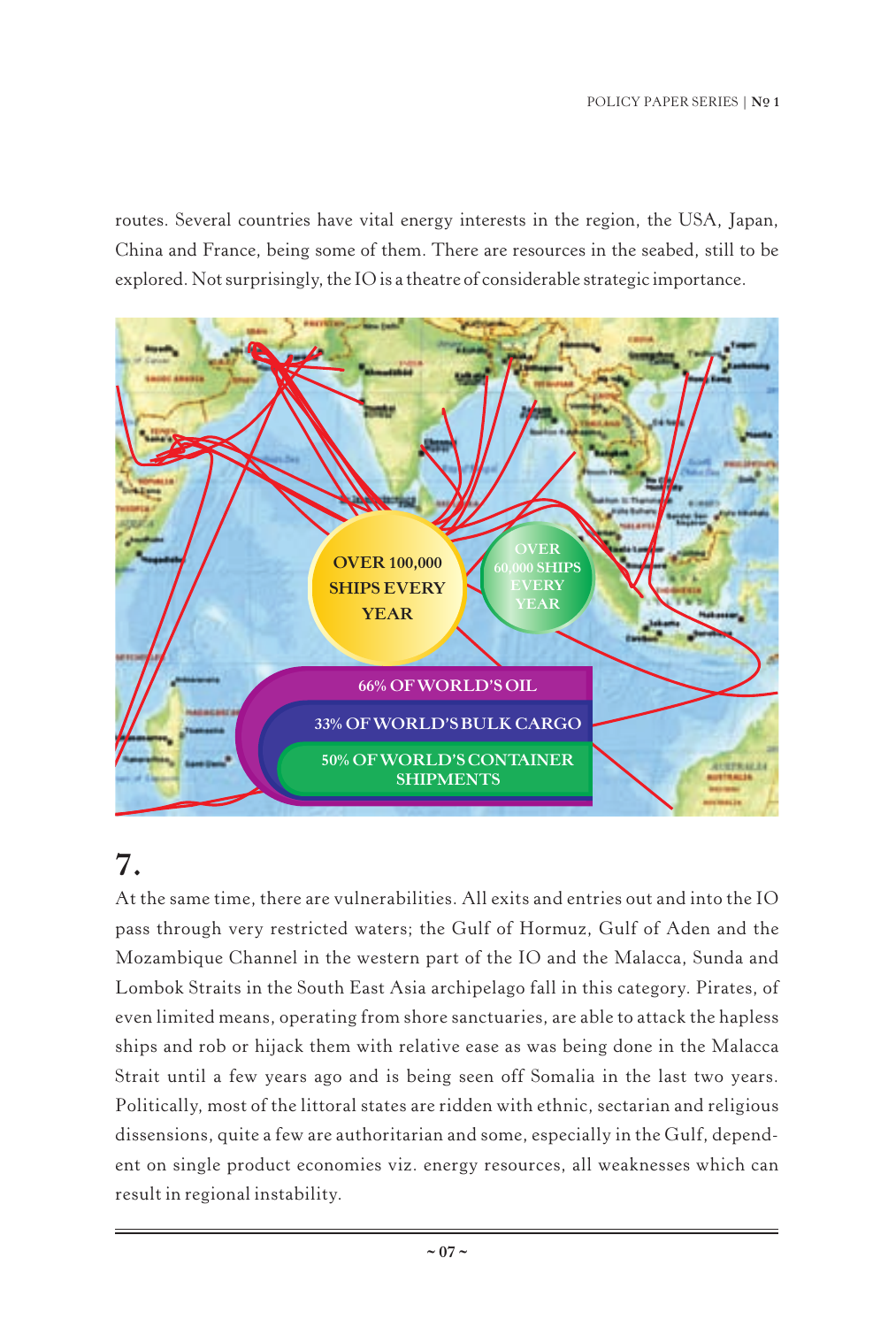routes. Several countries have vital energy interests in the region, the USA, Japan, China and France, being some of them. There are resources in the seabed, still to be explored. Not surprisingly, the IO is a theatre of considerable strategic importance.



#### **7.**

At the same time, there are vulnerabilities. All exits and entries out and into the IO pass through very restricted waters; the Gulf of Hormuz, Gulf of Aden and the Mozambique Channel in the western part of the IO and the Malacca, Sunda and Lombok Straits in the South East Asia archipelago fall in this category. Pirates, of even limited means, operating from shore sanctuaries, are able to attack the hapless ships and rob or hijack them with relative ease as was being done in the Malacca Strait until a few years ago and is being seen off Somalia in the last two years. Politically, most of the littoral states are ridden with ethnic, sectarian and religious dissensions, quite a few are authoritarian and some, especially in the Gulf, dependent on single product economies viz. energy resources, all weaknesses which can result in regional instability.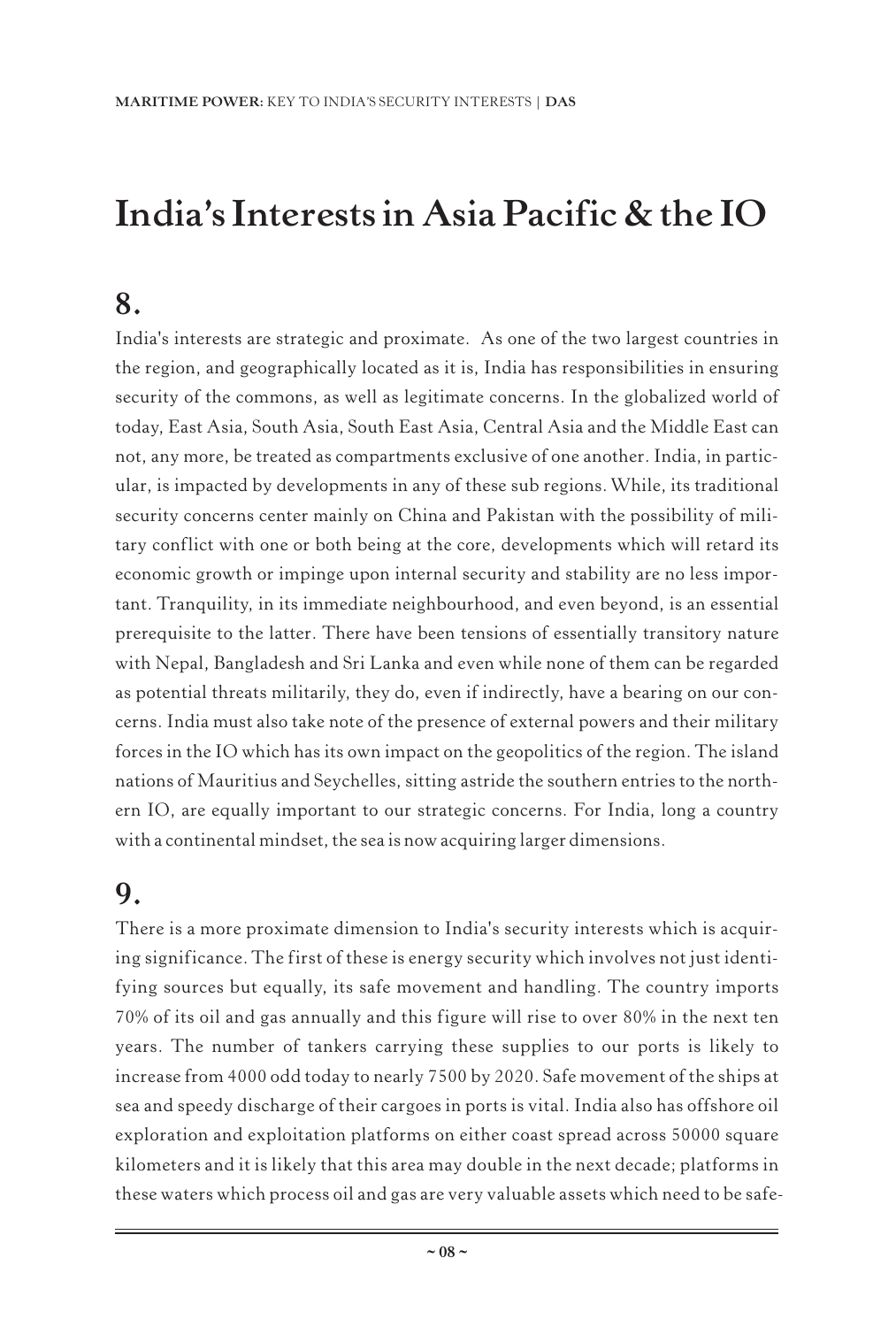## **India's Interests in Asia Pacific & the IO**

#### **8.**

India's interests are strategic and proximate. As one of the two largest countries in the region, and geographically located as it is, India has responsibilities in ensuring security of the commons, as well as legitimate concerns. In the globalized world of today, East Asia, South Asia, South East Asia, Central Asia and the Middle East can not, any more, be treated as compartments exclusive of one another. India, in particular, is impacted by developments in any of these sub regions.While, its traditional security concerns center mainly on China and Pakistan with the possibility of military conflict with one or both being at the core, developments which will retard its economic growth or impinge upon internal security and stability are no less important. Tranquility, in its immediate neighbourhood, and even beyond, is an essential prerequisite to the latter. There have been tensions of essentially transitory nature with Nepal, Bangladesh and Sri Lanka and even while none of them can be regarded as potential threats militarily, they do, even if indirectly, have a bearing on our concerns. India must also take note of the presence of external powers and their military forces in the IO which has its own impact on the geopolitics of the region. The island nations of Mauritius and Seychelles, sitting astride the southern entries to the northern IO, are equally important to our strategic concerns. For India, long a country with a continental mindset, the sea is now acquiring larger dimensions.

#### **9.**

There is a more proximate dimension to India's security interests which is acquiring significance. The first of these is energy security which involves not just identifying sources but equally, its safe movement and handling. The country imports 70% of its oil and gas annually and this figure will rise to over 80% in the next ten years. The number of tankers carrying these supplies to our ports is likely to increase from 4000 odd today to nearly 7500 by 2020. Safe movement of the ships at sea and speedy discharge of their cargoes in ports is vital. India also has offshore oil exploration and exploitation platforms on either coast spread across 50000 square kilometers and it is likely that this area may double in the next decade; platforms in these waters which process oil and gas are very valuable assets which need to be safe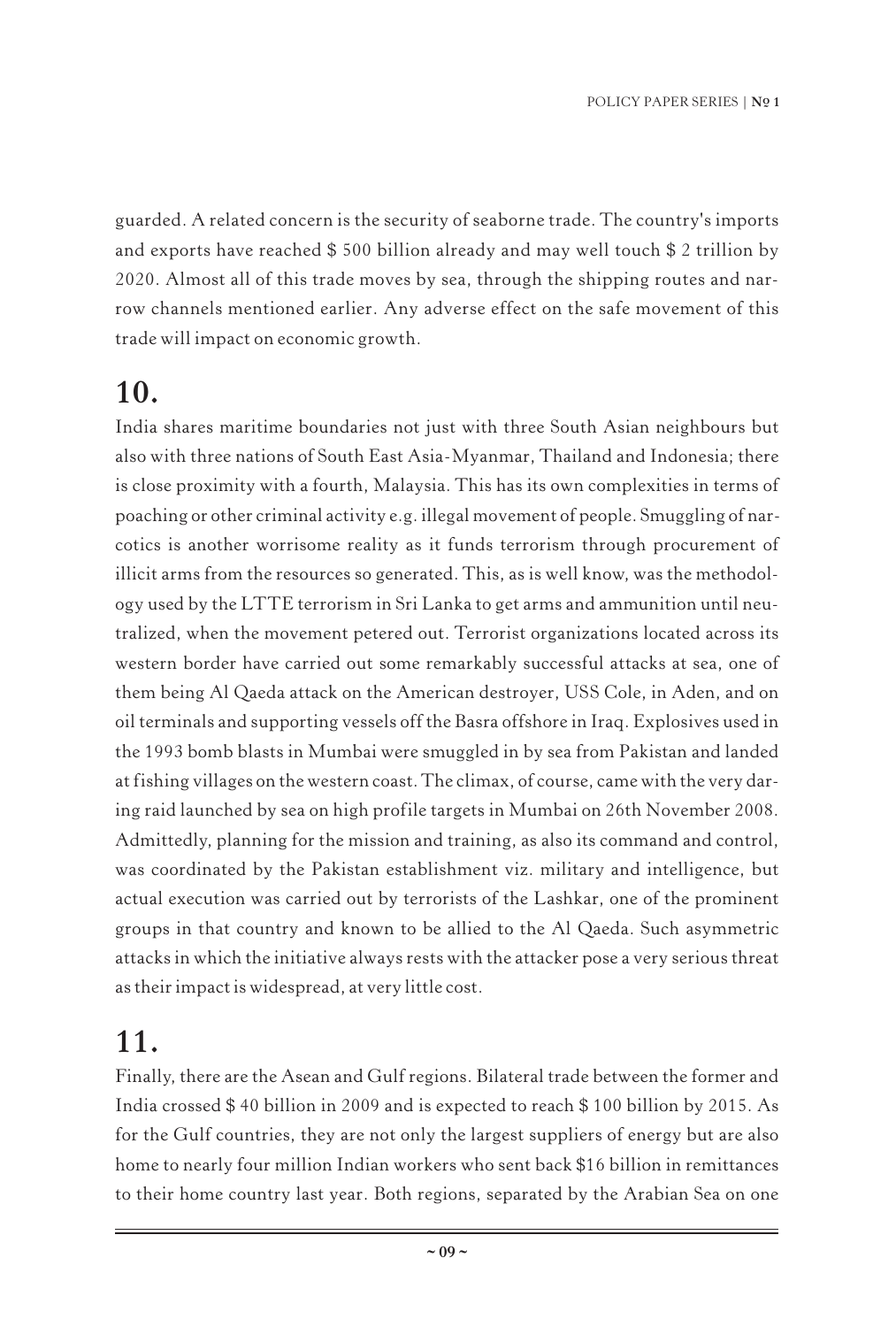guarded. A related concern is the security of seaborne trade. The country's imports and exports have reached \$ 500 billion already and may well touch \$ 2 trillion by 2020. Almost all of this trade moves by sea, through the shipping routes and narrow channels mentioned earlier. Any adverse effect on the safe movement of this trade will impact on economic growth.

#### **10.**

India shares maritime boundaries not just with three South Asian neighbours but also with three nations of South East Asia-Myanmar, Thailand and Indonesia; there is close proximity with a fourth, Malaysia. This has its own complexities in terms of poaching or other criminal activity e.g. illegal movement of people. Smuggling of narcotics is another worrisome reality as it funds terrorism through procurement of illicit arms from the resources so generated. This, as is well know, was the methodology used by the LTTE terrorism in Sri Lanka to get arms and ammunition until neutralized, when the movement petered out. Terrorist organizations located across its western border have carried out some remarkably successful attacks at sea, one of them being Al Qaeda attack on the American destroyer, USS Cole, in Aden, and on oil terminals and supporting vessels off the Basra offshore in Iraq. Explosives used in the 1993 bomb blasts in Mumbai were smuggled in by sea from Pakistan and landed at fishing villages on the western coast. The climax, of course, came with the very daring raid launched by sea on high profile targets in Mumbai on 26th November 2008. Admittedly, planning for the mission and training, as also its command and control, was coordinated by the Pakistan establishment viz. military and intelligence, but actual execution was carried out by terrorists of the Lashkar, one of the prominent groups in that country and known to be allied to the Al Qaeda. Such asymmetric attacks in which the initiative always rests with the attacker pose a very serious threat as their impact is widespread, at very little cost.

### **11.**

Finally, there are the Asean and Gulf regions. Bilateral trade between the former and India crossed \$ 40 billion in 2009 and is expected to reach \$ 100 billion by 2015. As for the Gulf countries, they are not only the largest suppliers of energy but are also home to nearly four million Indian workers who sent back \$16 billion in remittances to their home country last year. Both regions, separated by the Arabian Sea on one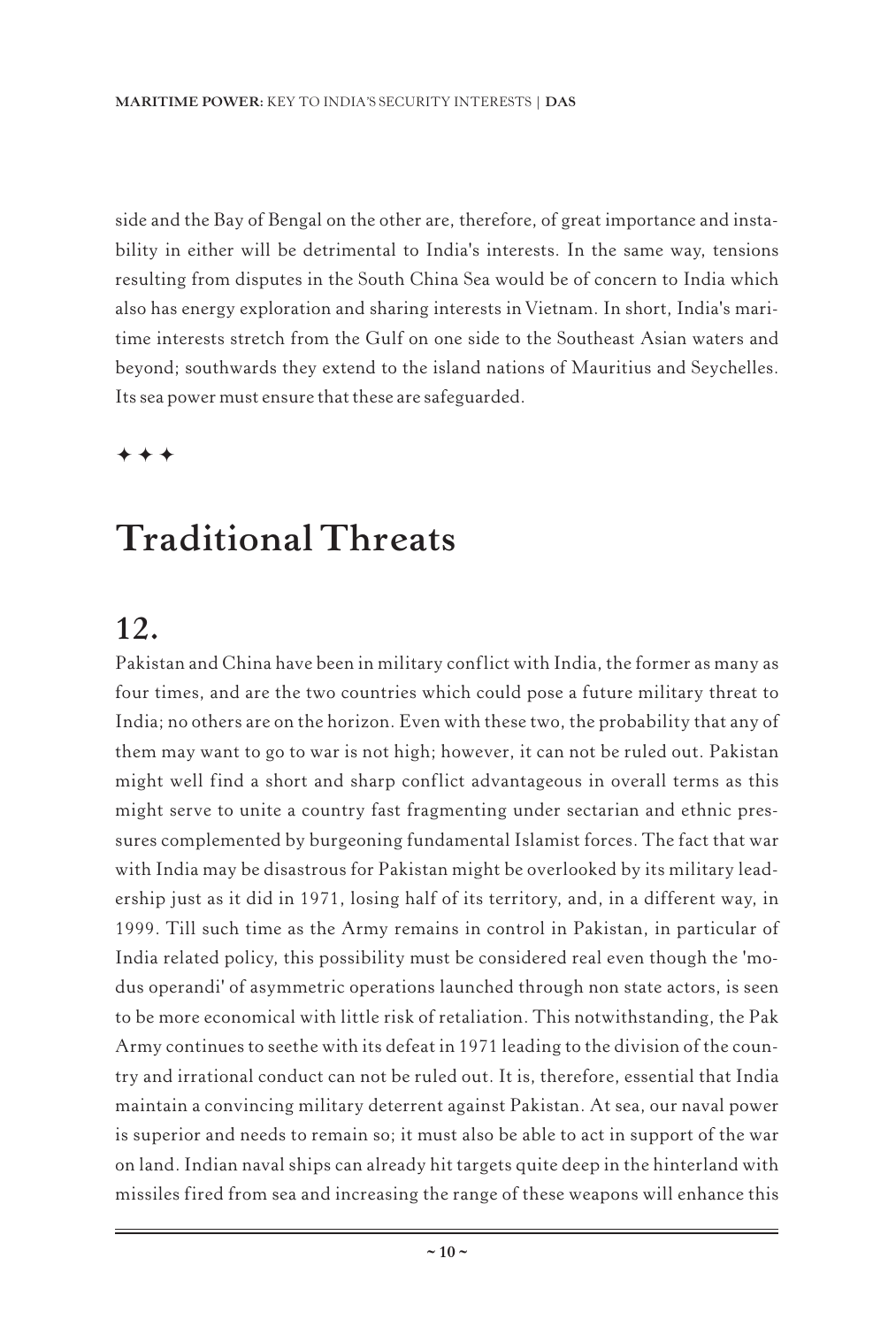side and the Bay of Bengal on the other are, therefore, of great importance and instability in either will be detrimental to India's interests. In the same way, tensions resulting from disputes in the South China Sea would be of concern to India which also has energy exploration and sharing interests in Vietnam. In short, India's maritime interests stretch from the Gulf on one side to the Southeast Asian waters and beyond; southwards they extend to the island nations of Mauritius and Seychelles. Its sea power must ensure that these are safeguarded.

 $\ddotmark$  $\ddotmark$  $\ddotmark$ 

## **Traditional Threats**

#### **12.**

Pakistan and China have been in military conflict with India, the former as many as four times, and are the two countries which could pose a future military threat to India; no others are on the horizon. Even with these two, the probability that any of them may want to go to war is not high; however, it can not be ruled out. Pakistan might well find a short and sharp conflict advantageous in overall terms as this might serve to unite a country fast fragmenting under sectarian and ethnic pressures complemented by burgeoning fundamental Islamist forces. The fact that war with India may be disastrous for Pakistan might be overlooked by its military leadership just as it did in 1971, losing half of its territory, and, in a different way, in 1999. Till such time as the Army remains in control in Pakistan, in particular of India related policy, this possibility must be considered real even though the 'modus operandi' of asymmetric operations launched through non state actors, is seen to be more economical with little risk of retaliation. This notwithstanding, the Pak Army continues to seethe with its defeat in 1971 leading to the division of the country and irrational conduct can not be ruled out. It is, therefore, essential that India maintain a convincing military deterrent against Pakistan. At sea, our naval power is superior and needs to remain so; it must also be able to act in support of the war on land. Indian naval ships can already hit targets quite deep in the hinterland with missiles fired from sea and increasing the range of these weapons will enhance this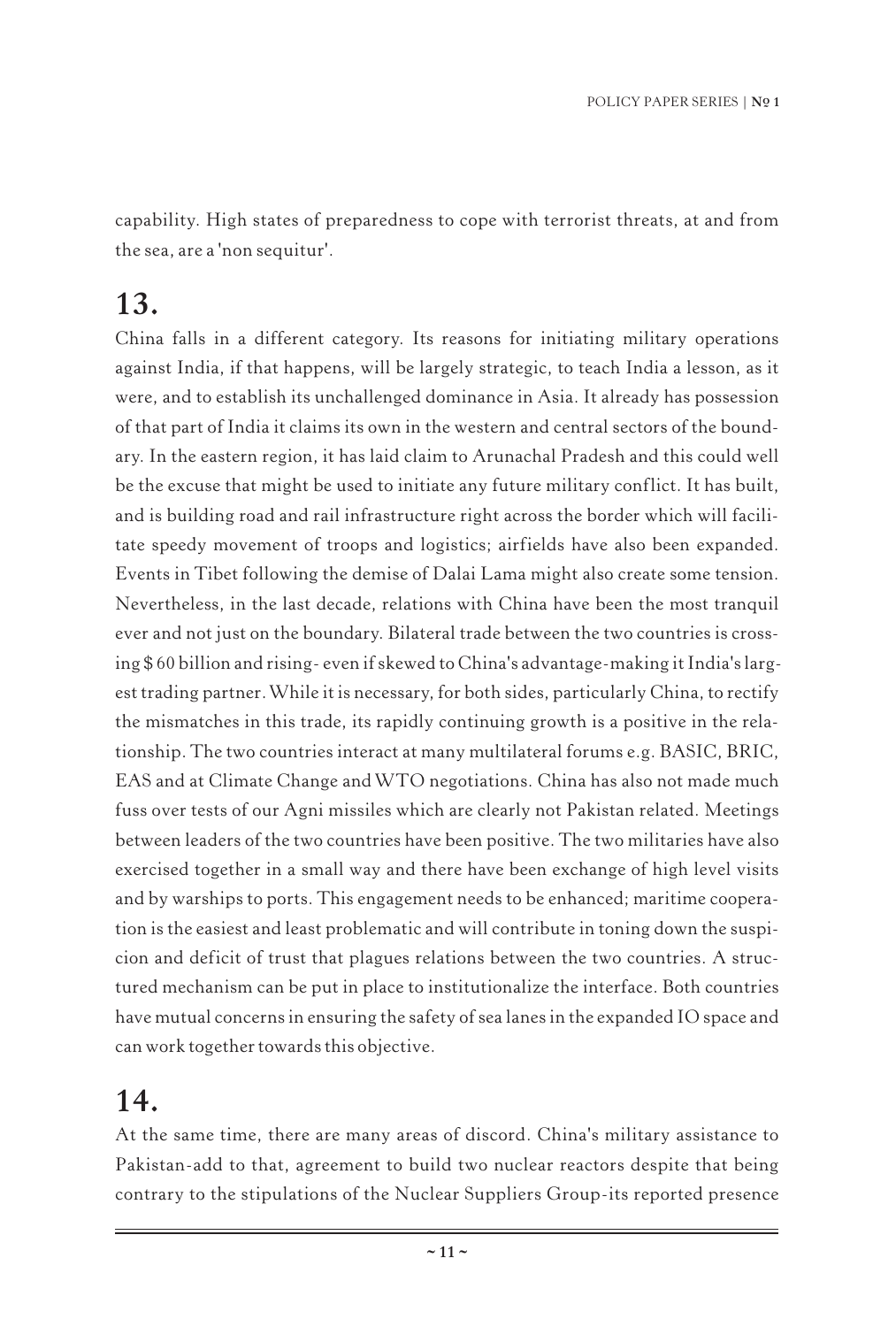capability. High states of preparedness to cope with terrorist threats, at and from the sea, are a 'non sequitur'.

#### **13.**

China falls in a different category. Its reasons for initiating military operations against India, if that happens, will be largely strategic, to teach India a lesson, as it were, and to establish its unchallenged dominance in Asia. It already has possession of that part of India it claims its own in the western and central sectors of the boundary. In the eastern region, it has laid claim to Arunachal Pradesh and this could well be the excuse that might be used to initiate any future military conflict. It has built, and is building road and rail infrastructure right across the border which will facilitate speedy movement of troops and logistics; airfields have also been expanded. Events in Tibet following the demise of Dalai Lama might also create some tension. Nevertheless, in the last decade, relations with China have been the most tranquil ever and not just on the boundary. Bilateral trade between the two countries is crossing \$ 60 billion and rising- even if skewed to China's advantage-making it India's largest trading partner.While it is necessary, for both sides, particularly China, to rectify the mismatches in this trade, its rapidly continuing growth is a positive in the relationship. The two countries interact at many multilateral forums e.g. BASIC, BRIC, EAS and at Climate Change andWTO negotiations. China has also not made much fuss over tests of our Agni missiles which are clearly not Pakistan related. Meetings between leaders of the two countries have been positive. The two militaries have also exercised together in a small way and there have been exchange of high level visits and by warships to ports. This engagement needs to be enhanced; maritime cooperation is the easiest and least problematic and will contribute in toning down the suspicion and deficit of trust that plagues relations between the two countries. A structured mechanism can be put in place to institutionalize the interface. Both countries have mutual concerns in ensuring the safety of sea lanes in the expanded IO space and can work together towards this objective.

#### **14.**

At the same time, there are many areas of discord. China's military assistance to Pakistan-add to that, agreement to build two nuclear reactors despite that being contrary to the stipulations of the Nuclear Suppliers Group-its reported presence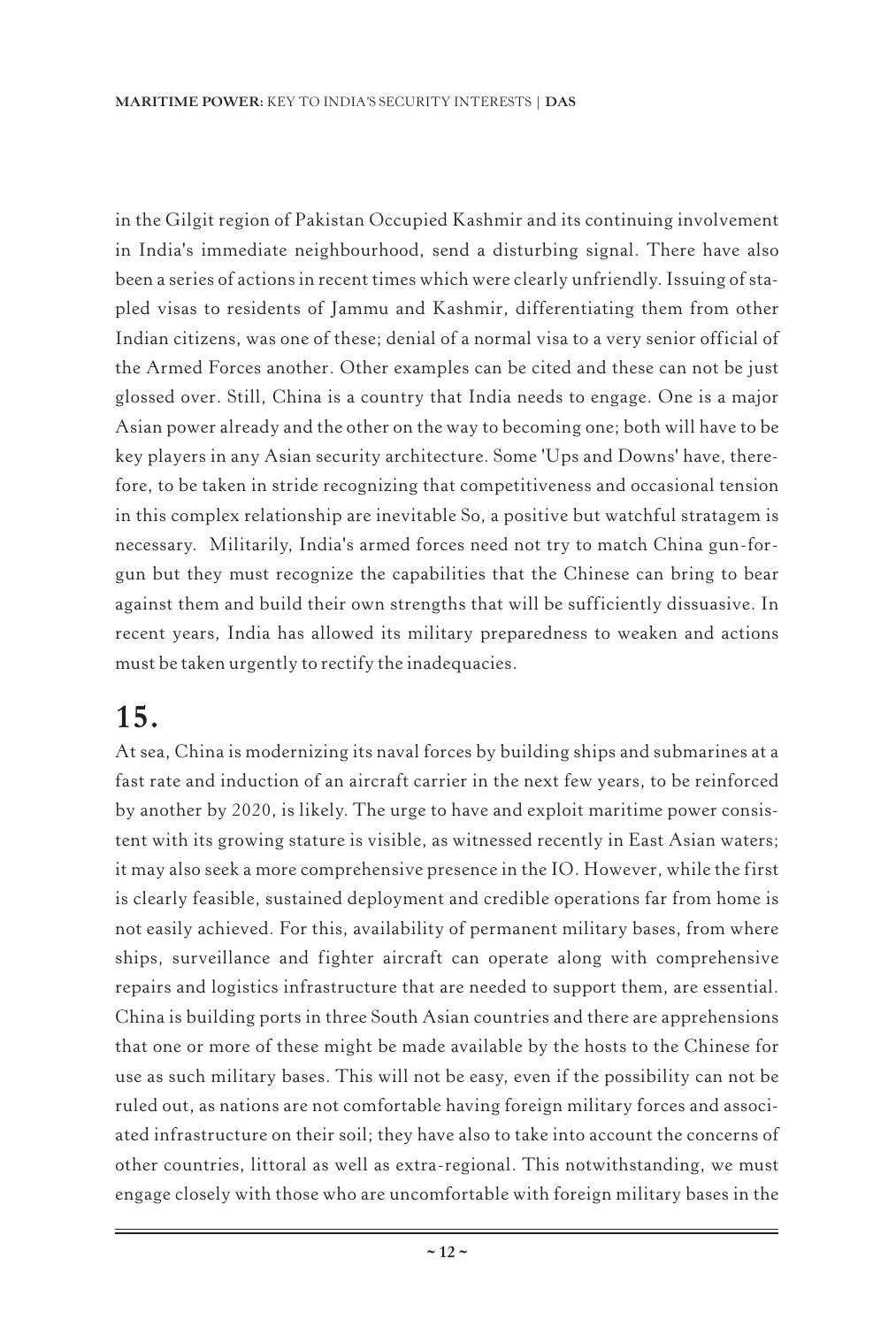in the Gilgit region of Pakistan Occupied Kashmir and its continuing involvement in India's immediate neighbourhood, send a disturbing signal. There have also been a series of actions in recent times which were clearly unfriendly. Issuing of stapled visas to residents of Jammu and Kashmir, differentiating them from other Indian citizens, was one of these; denial of a normal visa to a very senior official of the Armed Forces another. Other examples can be cited and these can not be just glossed over. Still, China is a country that India needs to engage. One is a major Asian power already and the other on the way to becoming one; both will have to be key players in any Asian security architecture. Some 'Ups and Downs' have, therefore, to be taken in stride recognizing that competitiveness and occasional tension in this complex relationship are inevitable So, a positive but watchful stratagem is necessary. Militarily, India's armed forces need not try to match China gun-forgun but they must recognize the capabilities that the Chinese can bring to bear against them and build their own strengths that will be sufficiently dissuasive. In recent years, India has allowed its military preparedness to weaken and actions must be taken urgently to rectify the inadequacies.

#### **15.**

At sea, China is modernizing its naval forces by building ships and submarines at a fast rate and induction of an aircraft carrier in the next few years, to be reinforced by another by 2020, is likely. The urge to have and exploit maritime power consistent with its growing stature is visible, as witnessed recently in East Asian waters; it may also seek a more comprehensive presence in the IO. However, while the first is clearly feasible, sustained deployment and credible operations far from home is not easily achieved. For this, availability of permanent military bases, from where ships, surveillance and fighter aircraft can operate along with comprehensive repairs and logistics infrastructure that are needed to support them, are essential. China is building ports in three South Asian countries and there are apprehensions that one or more of these might be made available by the hosts to the Chinese for use as such military bases. This will not be easy, even if the possibility can not be ruled out, as nations are not comfortable having foreign military forces and associated infrastructure on their soil; they have also to take into account the concerns of other countries, littoral as well as extra-regional. This notwithstanding, we must engage closely with those who are uncomfortable with foreign military bases in the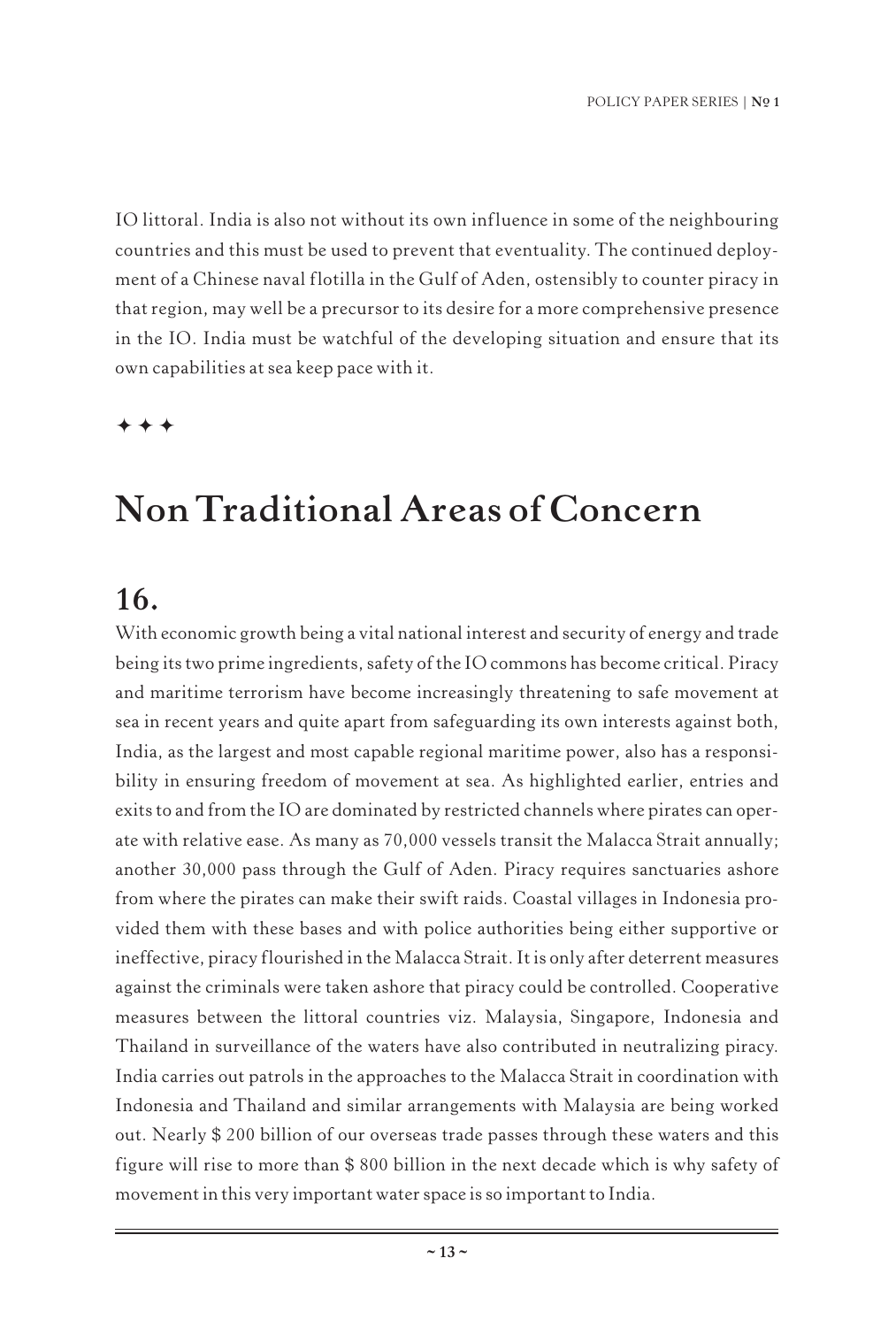IO littoral. India is also not without its own influence in some of the neighbouring countries and this must be used to prevent that eventuality. The continued deployment of a Chinese naval flotilla in the Gulf of Aden, ostensibly to counter piracy in that region, may well be a precursor to its desire for a more comprehensive presence in the IO. India must be watchful of the developing situation and ensure that its own capabilities at sea keep pace with it.

 $\ddotmark$  $+ +$ 

## **Non Traditional Areas of Concern**

#### **16.**

With economic growth being a vital national interest and security of energy and trade being its two prime ingredients, safety of the IO commons has become critical. Piracy and maritime terrorism have become increasingly threatening to safe movement at sea in recent years and quite apart from safeguarding its own interests against both, India, as the largest and most capable regional maritime power, also has a responsibility in ensuring freedom of movement at sea. As highlighted earlier, entries and exits to and from the IO are dominated by restricted channels where pirates can operate with relative ease. As many as 70,000 vessels transit the Malacca Strait annually; another 30,000 pass through the Gulf of Aden. Piracy requires sanctuaries ashore from where the pirates can make their swift raids. Coastal villages in Indonesia provided them with these bases and with police authorities being either supportive or ineffective, piracy flourished in the Malacca Strait. It is only after deterrent measures against the criminals were taken ashore that piracy could be controlled. Cooperative measures between the littoral countries viz. Malaysia, Singapore, Indonesia and Thailand in surveillance of the waters have also contributed in neutralizing piracy. India carries out patrols in the approaches to the Malacca Strait in coordination with Indonesia and Thailand and similar arrangements with Malaysia are being worked out. Nearly \$ 200 billion of our overseas trade passes through these waters and this figure will rise to more than \$ 800 billion in the next decade which is why safety of movement in this very important water space is so important to India.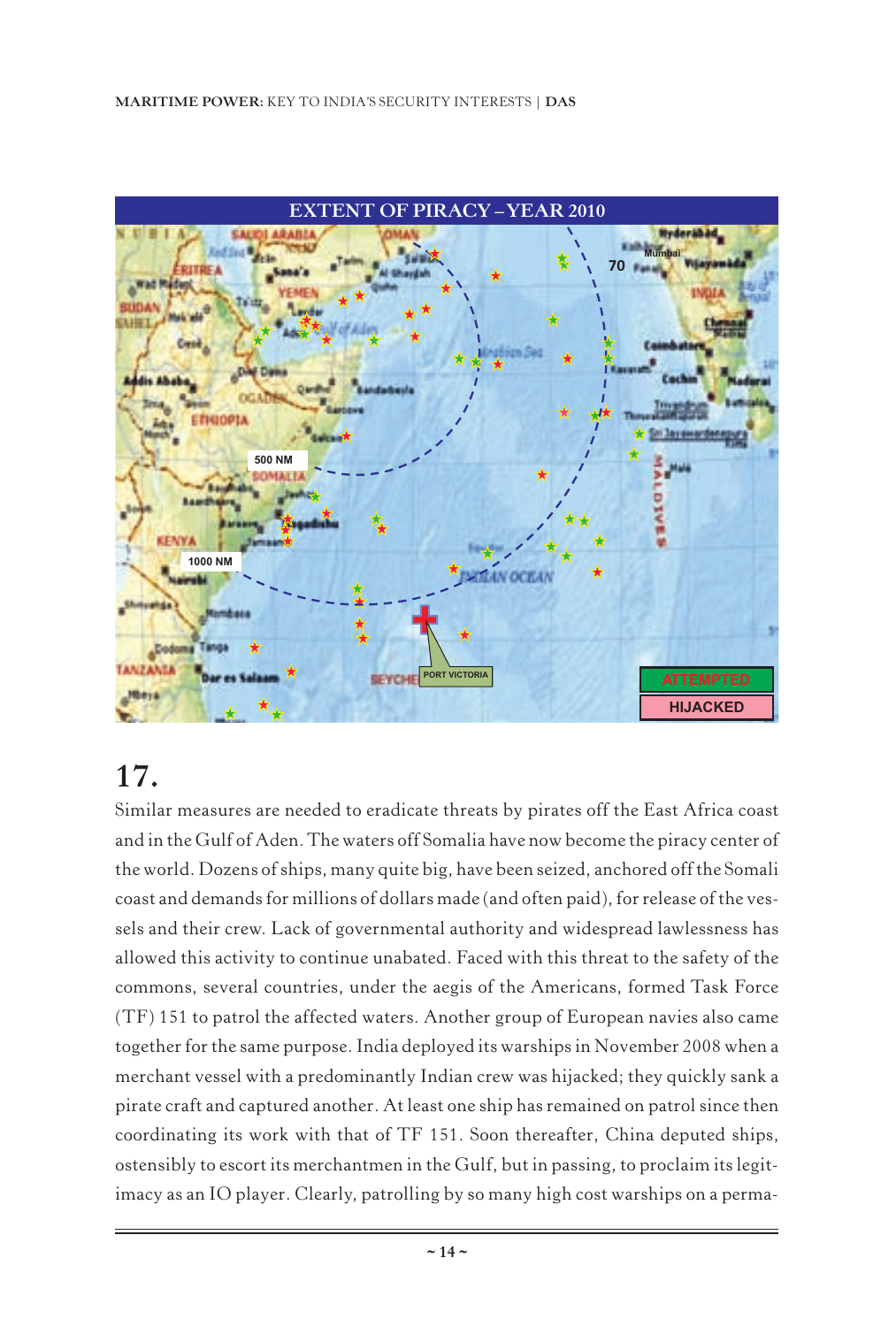

## **17.**

Similar measures are needed to eradicate threats by pirates off the East Africa coast and in the Gulf of Aden. The waters off Somalia have now become the piracy center of the world. Dozens of ships, many quite big, have been seized, anchored off the Somali coast and demands for millions of dollars made (and often paid), for release of the vessels and their crew. Lack of governmental authority and widespread lawlessness has allowed this activity to continue unabated. Faced with this threat to the safety of the commons, several countries, under the aegis of the Americans, formed Task Force (TF) 151 to patrol the affected waters. Another group of European navies also came together for the same purpose. India deployed its warships in November 2008 when a merchant vessel with a predominantly Indian crew was hijacked; they quickly sank a pirate craft and captured another. At least one ship has remained on patrol since then coordinating its work with that of TF 151. Soon thereafter, China deputed ships, ostensibly to escort its merchantmen in the Gulf, but in passing, to proclaim its legitimacy as an IO player. Clearly, patrolling by so many high cost warships on a perma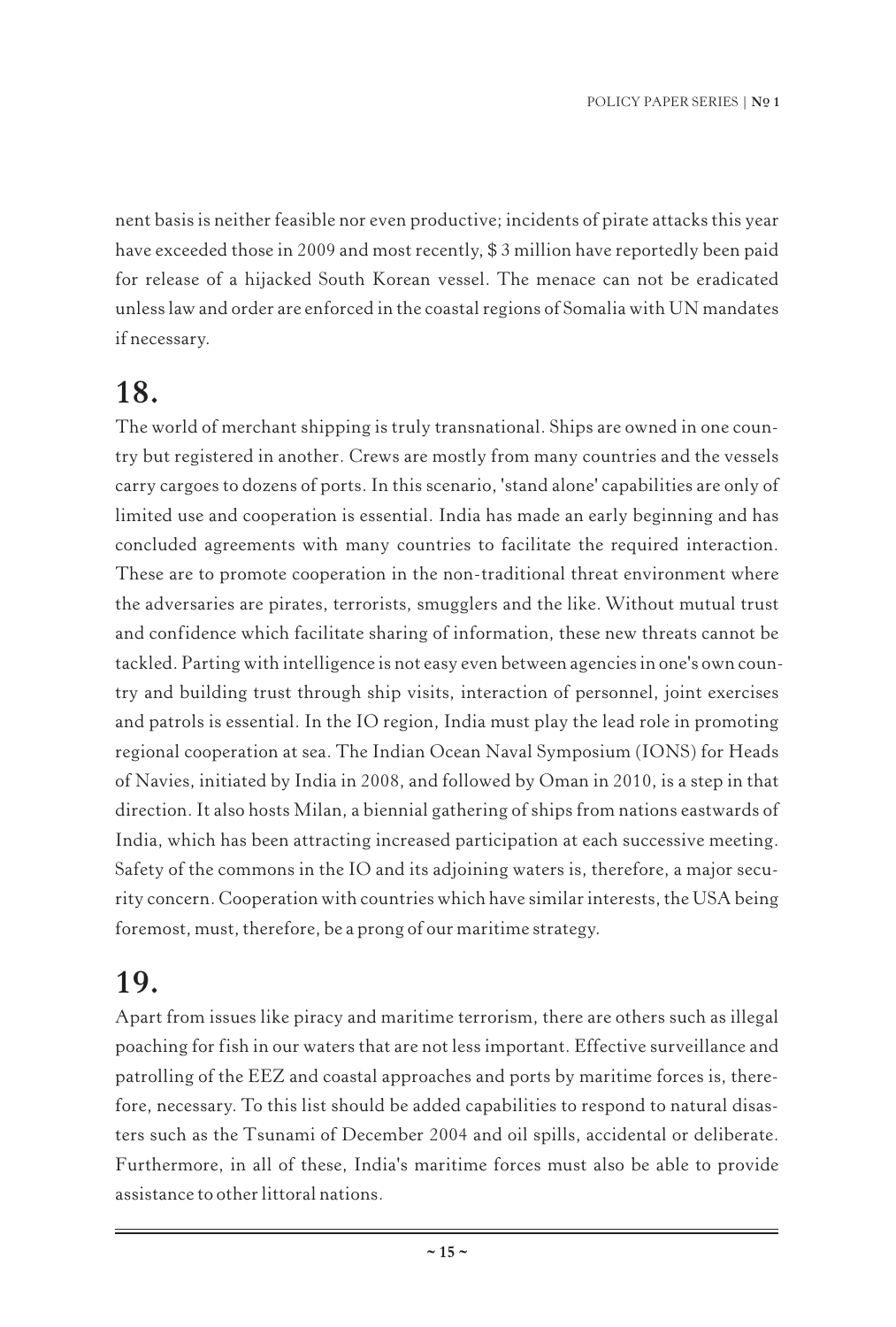nent basis is neither feasible nor even productive; incidents of pirate attacks this year have exceeded those in 2009 and most recently, \$3 million have reportedly been paid for release of a hijacked South Korean vessel. The menace can not be eradicated unless law and order are enforced in the coastal regions of Somalia with UN mandates if necessary.

#### **18.**

The world of merchant shipping is truly transnational. Ships are owned in one country but registered in another. Crews are mostly from many countries and the vessels carry cargoes to dozens of ports. In this scenario, 'stand alone' capabilities are only of limited use and cooperation is essential. India has made an early beginning and has concluded agreements with many countries to facilitate the required interaction. These are to promote cooperation in the non-traditional threat environment where the adversaries are pirates, terrorists, smugglers and the like. Without mutual trust and confidence which facilitate sharing of information, these new threats cannot be tackled. Parting with intelligence is not easy even between agencies in one's own country and building trust through ship visits, interaction of personnel, joint exercises and patrols is essential. In the IO region, India must play the lead role in promoting regional cooperation at sea. The Indian Ocean Naval Symposium (IONS) for Heads of Navies, initiated by India in 2008, and followed by Oman in 2010, is a step in that direction. It also hosts Milan, a biennial gathering of ships from nations eastwards of India, which has been attracting increased participation at each successive meeting. Safety of the commons in the IO and its adjoining waters is, therefore, a major security concern. Cooperation with countries which have similar interests, the USA being foremost, must, therefore, be a prong of our maritime strategy.

#### **19.**

Apart from issues like piracy and maritime terrorism, there are others such as illegal poaching for fish in our waters that are not less important. Effective surveillance and patrolling of the EEZ and coastal approaches and ports by maritime forces is, therefore, necessary. To this list should be added capabilities to respond to natural disasters such as the Tsunami of December 2004 and oil spills, accidental or deliberate. Furthermore, in all of these, India's maritime forces must also be able to provide assistance to other littoral nations.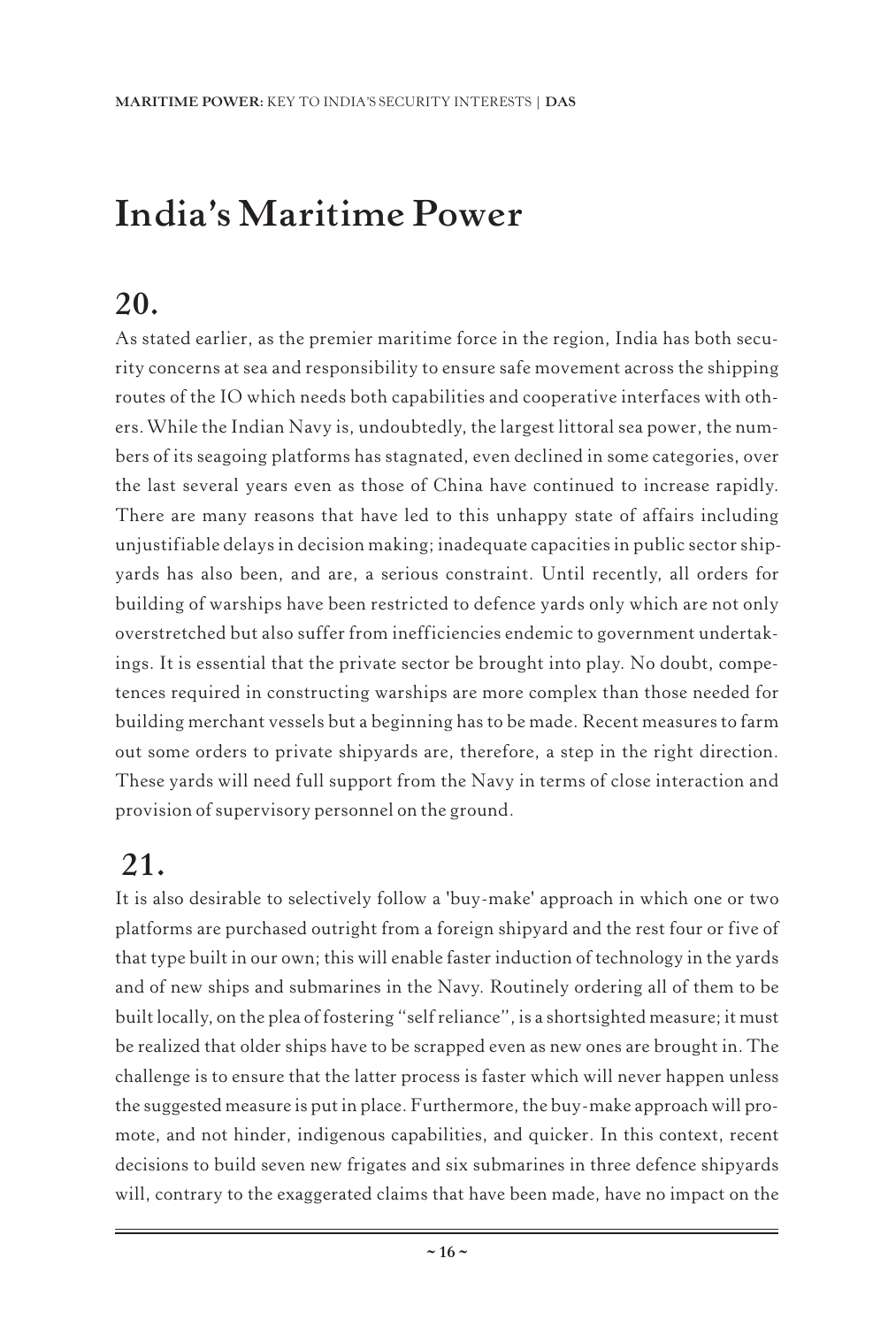## **India's Maritime Power**

### **20.**

As stated earlier, as the premier maritime force in the region, India has both security concerns at sea and responsibility to ensure safe movement across the shipping routes of the IO which needs both capabilities and cooperative interfaces with others.While the Indian Navy is, undoubtedly, the largest littoral sea power, the numbers of its seagoing platforms has stagnated, even declined in some categories, over the last several years even as those of China have continued to increase rapidly. There are many reasons that have led to this unhappy state of affairs including unjustifiable delays in decision making; inadequate capacities in public sector shipyards has also been, and are, a serious constraint. Until recently, all orders for building of warships have been restricted to defence yards only which are not only overstretched but also suffer from inefficiencies endemic to government undertakings. It is essential that the private sector be brought into play. No doubt, competences required in constructing warships are more complex than those needed for building merchant vessels but a beginning has to be made. Recent measures to farm out some orders to private shipyards are, therefore, a step in the right direction. These yards will need full support from the Navy in terms of close interaction and provision of supervisory personnel on the ground.

## **21.**

It is also desirable to selectively follow a 'buy-make' approach in which one or two platforms are purchased outright from a foreign shipyard and the rest four or five of that type built in our own; this will enable faster induction of technology in the yards and of new ships and submarines in the Navy. Routinely ordering all of them to be built locally, on the plea of fostering "self reliance", is a shortsighted measure; it must be realized that older ships have to be scrapped even as new ones are brought in. The challenge is to ensure that the latter process is faster which will never happen unless the suggested measure is put in place. Furthermore, the buy-make approach will promote, and not hinder, indigenous capabilities, and quicker. In this context, recent decisions to build seven new frigates and six submarines in three defence shipyards will, contrary to the exaggerated claims that have been made, have no impact on the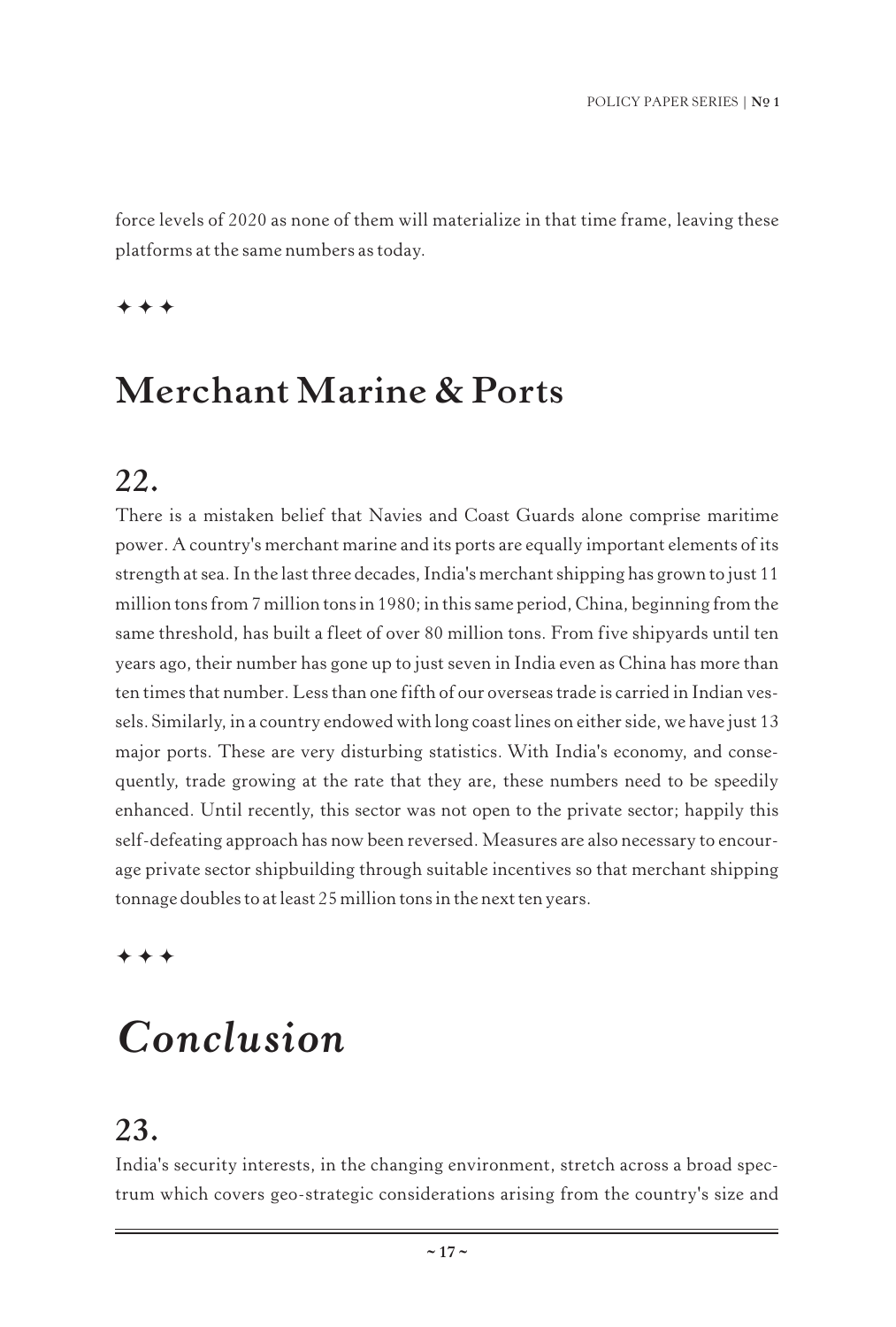force levels of 2020 as none of them will materialize in that time frame, leaving these platforms at the same numbers as today.

 $***$ 

### **Merchant Marine & Ports**

#### **22.**

There is a mistaken belief that Navies and Coast Guards alone comprise maritime power. A country's merchant marine and its ports are equally important elements of its strength at sea. In the last three decades, India's merchant shipping has grown to just 11 million tons from 7 million tons in 1980; in this same period, China, beginning from the same threshold, has built a fleet of over 80 million tons. From five shipyards until ten years ago, their number has gone up to just seven in India even as China has more than ten times that number. Less than one fifth of our overseas trade is carried in Indian vessels. Similarly, in a country endowed with long coast lines on either side, we have just 13 major ports. These are very disturbing statistics. With India's economy, and consequently, trade growing at the rate that they are, these numbers need to be speedily enhanced. Until recently, this sector was not open to the private sector; happily this self-defeating approach has now been reversed. Measures are also necessary to encourage private sector shipbuilding through suitable incentives so that merchant shipping tonnage doubles to at least 25 million tons in the next ten years.

 $***$ 

## *Conclusion*

#### **23.**

India's security interests, in the changing environment, stretch across a broad spectrum which covers geo-strategic considerations arising from the country's size and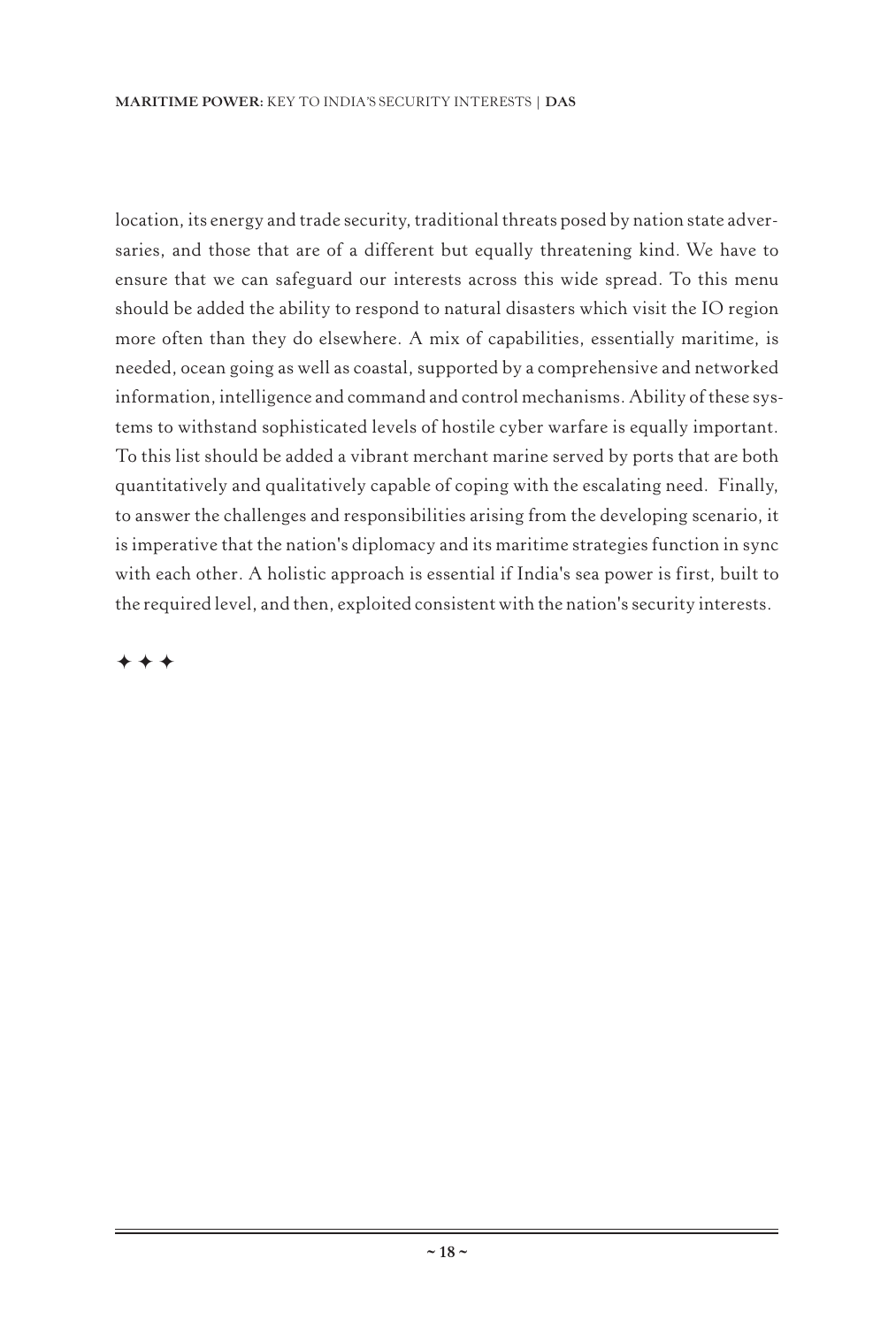location, its energy and trade security, traditional threats posed by nation state adversaries, and those that are of a different but equally threatening kind. We have to ensure that we can safeguard our interests across this wide spread. To this menu should be added the ability to respond to natural disasters which visit the IO region more often than they do elsewhere. A mix of capabilities, essentially maritime, is needed, ocean going as well as coastal, supported by a comprehensive and networked information, intelligence and command and control mechanisms. Ability of these systems to withstand sophisticated levels of hostile cyber warfare is equally important. To this list should be added a vibrant merchant marine served by ports that are both quantitatively and qualitatively capable of coping with the escalating need. Finally, to answer the challenges and responsibilities arising from the developing scenario, it is imperative that the nation's diplomacy and its maritime strategies function in sync with each other. A holistic approach is essential if India's sea power is first, built to the required level, and then, exploited consistent with the nation's security interests.

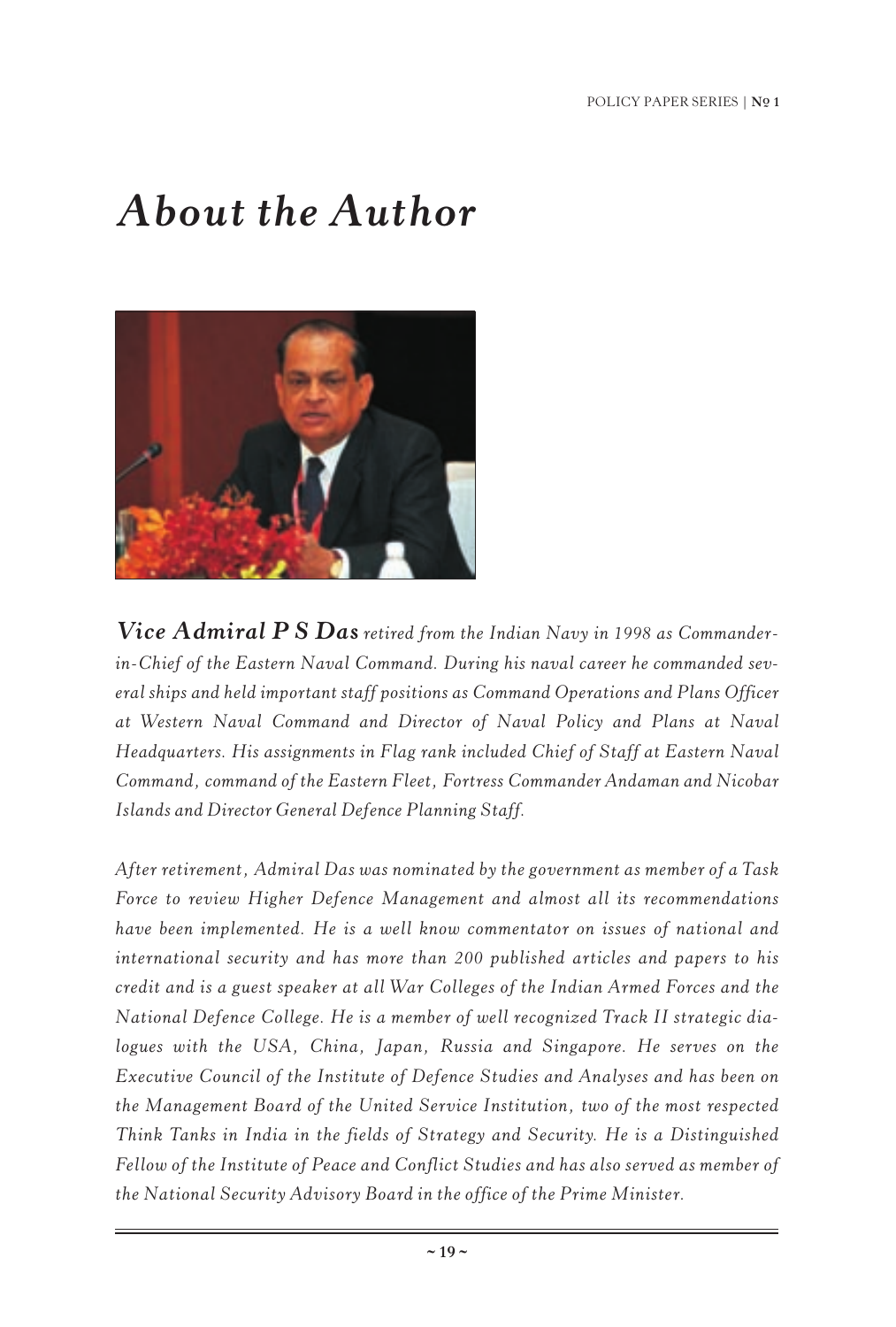## *About the Author*



*Vice Admiral P S Das retired from the Indian Navy in 1998 as Commanderin-Chief of the Eastern Naval Command. During his naval career he commanded several ships and held important staff positions as Command Operations and Plans Officer at Western Naval Command and Director of Naval Policy and Plans at Naval Headquarters. His assignments in Flag rank included Chief of Staff at Eastern Naval Command, command of the Eastern Fleet, Fortress Commander Andaman and Nicobar Islands and Director General Defence Planning Staff.*

*After retirement, Admiral Das was nominated by the government as member of a Task Force to review Higher Defence Management and almost all its recommendations have been implemented. He is a well know commentator on issues of national and international security and has more than 200 published articles and papers to his credit and is a guest speaker at all War Colleges of the Indian Armed Forces and the National Defence College. He is a member of well recognized Track II strategic dialogues with the USA, China, Japan, Russia and Singapore. He serves on the Executive Council of the Institute of Defence Studies and Analyses and has been on the Management Board of the United Service Institution, two of the most respected Think Tanks in India in the fields of Strategy and Security. He is a Distinguished Fellow of the Institute of Peace and Conflict Studies and has also served as member of the National Security Advisory Board in the office of the Prime Minister.*